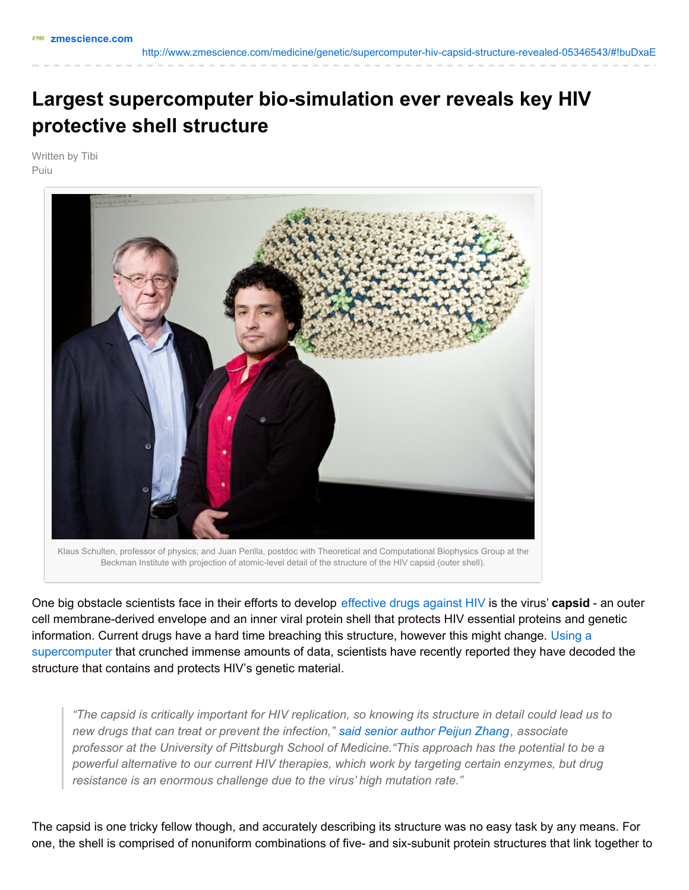## **Largest supercomputer bio-simulation ever reveals key HIV protective shell structure**

Written by Tibi Puiu



Klaus Schulten, professor of physics; and Juan Perilla, postdoc with Theoretical and Computational Biophysics Group at the Beckman Institute with projection of atomic-level detail of the structure of the HIV capsid (outer shell).

One big obstacle scientists face in their efforts to develop [effective](http://www.zmescience.com/medicine/hiv-vaccine-cd8-14022012/) drugs against HIV is the virus' **capsid** - an outer cell membrane-derived envelope and an inner viral protein shell that protects HIV essential proteins and genetic information. Current drugs have a hard time breaching this structure, however this might change. Using a [supercomputer](http://www.zmescience.com/research/supercomputer-simulation-confirms-universe-formation-model/) that crunched immense amounts of data, scientists have recently reported they have decoded the structure that contains and protects HIV's genetic material.

"The capsid is critically important for HIV replication, so knowing its structure in detail could lead us to *new drugs that can treat or prevent the infection," said senior author Peijun [Zhang](http://www.upmc.com/media/NewsReleases/2013/Pages/pitt-team-molecular-HIV-detail-new-therapies.aspx), associate professor at the University of Pittsburgh School of Medicine."This approach has the potential to be a powerful alternative to our current HIV therapies, which work by targeting certain enzymes, but drug resistance is an enormous challenge due to the virus' high mutation rate."*

The capsid is one tricky fellow though, and accurately describing its structure was no easy task by any means. For one, the shell is comprised of nonuniform combinations of five- and six-subunit protein structures that link together to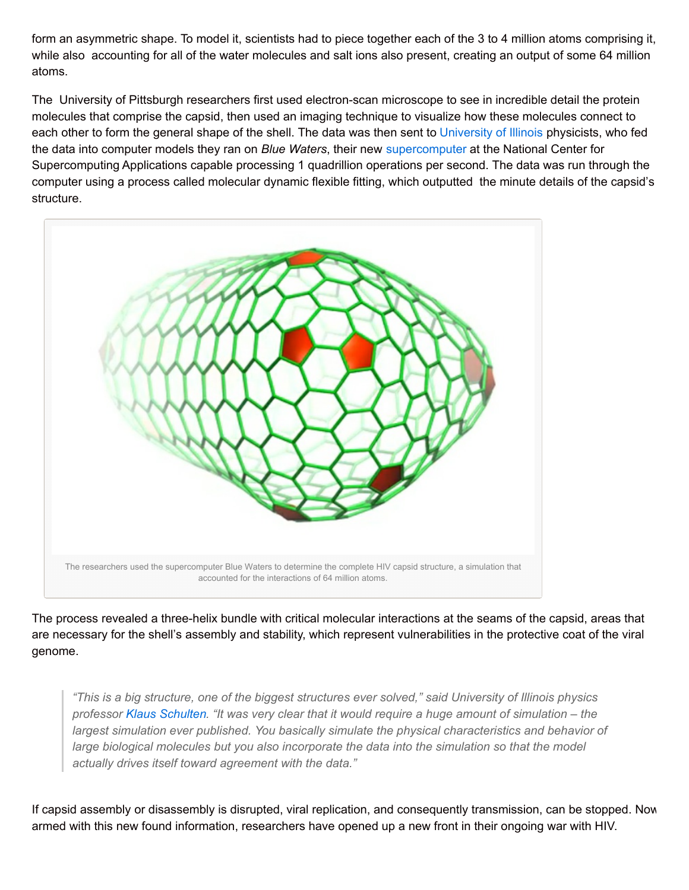form an asymmetric shape. To model it, scientists had to piece together each of the 3 to 4 million atoms comprising it, while also accounting for all of the water molecules and salt ions also present, creating an output of some 64 million atoms.

The University of Pittsburgh researchers first used electron-scan microscope to see in incredible detail the protein molecules that comprise the capsid, then used an imaging technique to visualize how these molecules connect to each other to form the general shape of the shell. The data was then sent to [University](http://news.illinois.edu/news/13/0529HIVcapsid_KlausSchulten.html) of Illinois physicists, who fed the data into computer models they ran on *Blue Waters*, their new [supercomputer](http://www.zmescience.com/science/world-fastest-supercomputer-13112012/) at the National Center for Supercomputing Applications capable processing 1 quadrillion operations per second. The data was run through the computer using a process called molecular dynamic flexible fitting, which outputted the minute details of the capsid's structure.



The process revealed a three-helix bundle with critical molecular interactions at the seams of the capsid, areas that are necessary for the shell's assembly and stability, which represent vulnerabilities in the protective coat of the viral genome.

*"This is a big structure, one of the biggest structures ever solved," said University of Illinois physics* professor Klaus [Schulten](http://physics.illinois.edu/people/profile.asp?schulten). "It was very clear that it would require a huge amount of simulation – the *largest simulation ever published. You basically simulate the physical characteristics and behavior of large biological molecules but you also incorporate the data into the simulation so that the model actually drives itself toward agreement with the data."*

If capsid assembly or disassembly is disrupted, viral replication, and consequently transmission, can be stopped. Now armed with this new found information, researchers have opened up a new front in their ongoing war with HIV.